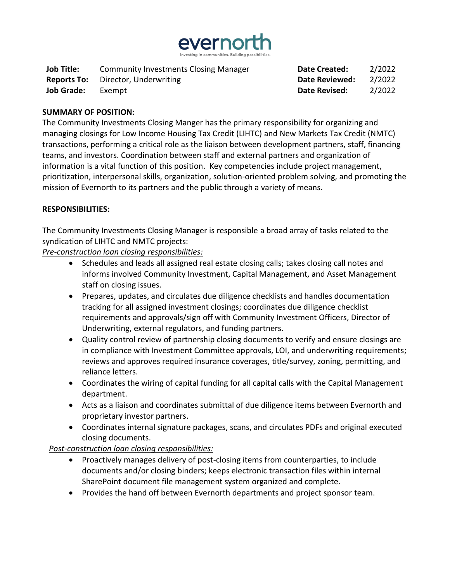

| <b>Job Title:</b>  | <b>Community Investments Closing Manager</b> | <b>Date Created:</b> | 2/2022 |
|--------------------|----------------------------------------------|----------------------|--------|
| <b>Reports To:</b> | Director, Underwriting                       | Date Reviewed:       | 2/2022 |
| <b>Job Grade:</b>  | Exempt                                       | Date Revised:        | 2/2022 |

#### **SUMMARY OF POSITION:**

The Community Investments Closing Manger has the primary responsibility for organizing and managing closings for Low Income Housing Tax Credit (LIHTC) and New Markets Tax Credit (NMTC) transactions, performing a critical role as the liaison between development partners, staff, financing teams, and investors. Coordination between staff and external partners and organization of information is a vital function of this position. Key competencies include project management, prioritization, interpersonal skills, organization, solution-oriented problem solving, and promoting the mission of Evernorth to its partners and the public through a variety of means.

#### **RESPONSIBILITIES:**

The Community Investments Closing Manager is responsible a broad array of tasks related to the syndication of LIHTC and NMTC projects:

*Pre-construction loan closing responsibilities:*

- Schedules and leads all assigned real estate closing calls; takes closing call notes and informs involved Community Investment, Capital Management, and Asset Management staff on closing issues.
- Prepares, updates, and circulates due diligence checklists and handles documentation tracking for all assigned investment closings; coordinates due diligence checklist requirements and approvals/sign off with Community Investment Officers, Director of Underwriting, external regulators, and funding partners.
- Quality control review of partnership closing documents to verify and ensure closings are in compliance with Investment Committee approvals, LOI, and underwriting requirements; reviews and approves required insurance coverages, title/survey, zoning, permitting, and reliance letters.
- Coordinates the wiring of capital funding for all capital calls with the Capital Management department.
- Acts as a liaison and coordinates submittal of due diligence items between Evernorth and proprietary investor partners.
- Coordinates internal signature packages, scans, and circulates PDFs and original executed closing documents.

#### *Post-construction loan closing responsibilities:*

- Proactively manages delivery of post-closing items from counterparties, to include documents and/or closing binders; keeps electronic transaction files within internal SharePoint document file management system organized and complete.
- Provides the hand off between Evernorth departments and project sponsor team.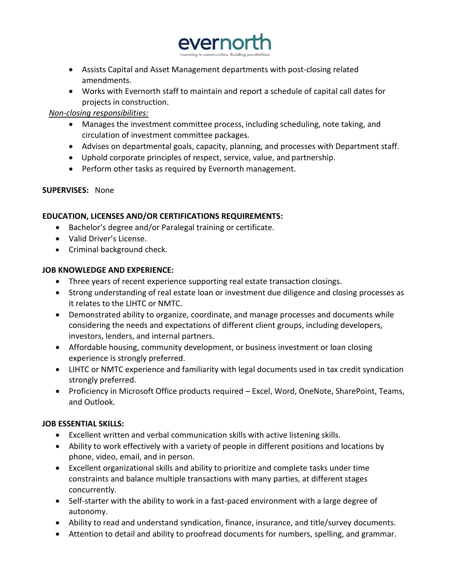

- Assists Capital and Asset Management departments with post-closing related amendments.
- Works with Evernorth staff to maintain and report a schedule of capital call dates for projects in construction.

# *Non-closing responsibilities:*

- Manages the investment committee process, including scheduling, note taking, and circulation of investment committee packages.
- Advises on departmental goals, capacity, planning, and processes with Department staff.
- Uphold corporate principles of respect, service, value, and partnership.
- Perform other tasks as required by Evernorth management.

# **SUPERVISES:** None

# **EDUCATION, LICENSES AND/OR CERTIFICATIONS REQUIREMENTS:**

- Bachelor's degree and/or Paralegal training or certificate.
- Valid Driver's License.
- Criminal background check.

# **JOB KNOWLEDGE AND EXPERIENCE:**

- Three years of recent experience supporting real estate transaction closings.
- Strong understanding of real estate loan or investment due diligence and closing processes as it relates to the LIHTC or NMTC.
- Demonstrated ability to organize, coordinate, and manage processes and documents while considering the needs and expectations of different client groups, including developers, investors, lenders, and internal partners.
- Affordable housing, community development, or business investment or loan closing experience is strongly preferred.
- LIHTC or NMTC experience and familiarity with legal documents used in tax credit syndication strongly preferred.
- Proficiency in Microsoft Office products required Excel, Word, OneNote, SharePoint, Teams, and Outlook.

# **JOB ESSENTIAL SKILLS:**

- Excellent written and verbal communication skills with active listening skills.
- Ability to work effectively with a variety of people in different positions and locations by phone, video, email, and in person.
- Excellent organizational skills and ability to prioritize and complete tasks under time constraints and balance multiple transactions with many parties, at different stages concurrently.
- Self-starter with the ability to work in a fast-paced environment with a large degree of autonomy.
- Ability to read and understand syndication, finance, insurance, and title/survey documents.
- Attention to detail and ability to proofread documents for numbers, spelling, and grammar.